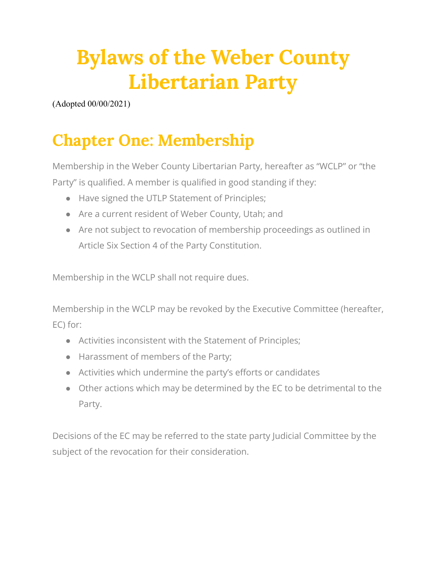# **Bylaws of the Weber County Libertarian Party**

(Adopted 00/00/2021)

## **Chapter One: Membership**

Membership in the Weber County Libertarian Party, hereafter as "WCLP" or "the Party" is qualified. A member is qualified in good standing if they:

- Have signed the UTLP Statement of Principles;
- Are a current resident of Weber County, Utah; and
- Are not subject to revocation of membership proceedings as outlined in Article Six Section 4 of the Party Constitution.

Membership in the WCLP shall not require dues.

Membership in the WCLP may be revoked by the Executive Committee (hereafter, EC) for:

- Activities inconsistent with the Statement of Principles;
- Harassment of members of the Party;
- Activities which undermine the party's efforts or candidates
- Other actions which may be determined by the EC to be detrimental to the Party.

Decisions of the EC may be referred to the state party Judicial Committee by the subject of the revocation for their consideration.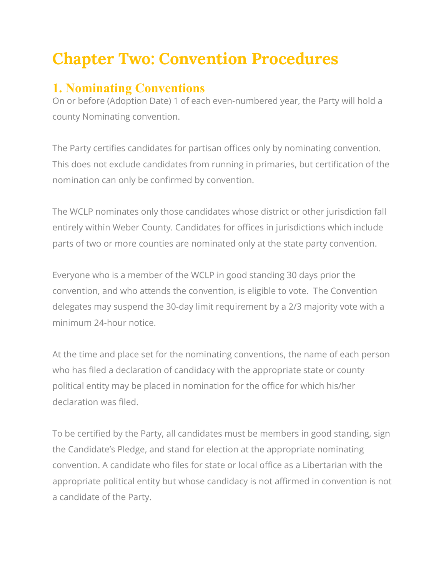## **Chapter Two: Convention Procedures**

#### **1. Nominating Conventions**

On or before (Adoption Date) 1 of each even-numbered year, the Party will hold a county Nominating convention.

The Party certifies candidates for partisan offices only by nominating convention. This does not exclude candidates from running in primaries, but certification of the nomination can only be confirmed by convention.

The WCLP nominates only those candidates whose district or other jurisdiction fall entirely within Weber County. Candidates for offices in jurisdictions which include parts of two or more counties are nominated only at the state party convention.

Everyone who is a member of the WCLP in good standing 30 days prior the convention, and who attends the convention, is eligible to vote. The Convention delegates may suspend the 30-day limit requirement by a 2/3 majority vote with a minimum 24-hour notice.

At the time and place set for the nominating conventions, the name of each person who has filed a declaration of candidacy with the appropriate state or county political entity may be placed in nomination for the office for which his/her declaration was filed.

To be certified by the Party, all candidates must be members in good standing, sign the Candidate's Pledge, and stand for election at the appropriate nominating convention. A candidate who files for state or local office as a Libertarian with the appropriate political entity but whose candidacy is not affirmed in convention is not a candidate of the Party.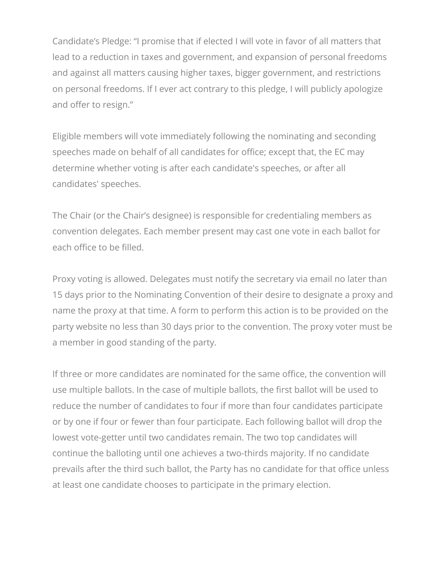Candidate's Pledge: "I promise that if elected I will vote in favor of all matters that lead to a reduction in taxes and government, and expansion of personal freedoms and against all matters causing higher taxes, bigger government, and restrictions on personal freedoms. If I ever act contrary to this pledge, I will publicly apologize and offer to resign."

Eligible members will vote immediately following the nominating and seconding speeches made on behalf of all candidates for office; except that, the EC may determine whether voting is after each candidate's speeches, or after all candidates' speeches.

The Chair (or the Chair's designee) is responsible for credentialing members as convention delegates. Each member present may cast one vote in each ballot for each office to be filled.

Proxy voting is allowed. Delegates must notify the secretary via email no later than 15 days prior to the Nominating Convention of their desire to designate a proxy and name the proxy at that time. A form to perform this action is to be provided on the party website no less than 30 days prior to the convention. The proxy voter must be a member in good standing of the party.

If three or more candidates are nominated for the same office, the convention will use multiple ballots. In the case of multiple ballots, the first ballot will be used to reduce the number of candidates to four if more than four candidates participate or by one if four or fewer than four participate. Each following ballot will drop the lowest vote-getter until two candidates remain. The two top candidates will continue the balloting until one achieves a two-thirds majority. If no candidate prevails after the third such ballot, the Party has no candidate for that office unless at least one candidate chooses to participate in the primary election.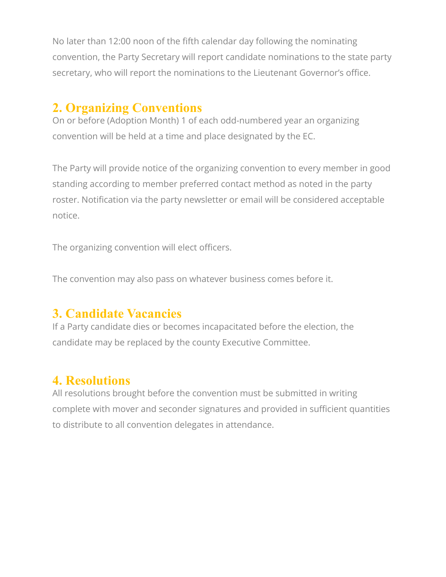No later than 12:00 noon of the fifth calendar day following the nominating convention, the Party Secretary will report candidate nominations to the state party secretary, who will report the nominations to the Lieutenant Governor's office.

#### **2. Organizing Conventions**

On or before (Adoption Month) 1 of each odd-numbered year an organizing convention will be held at a time and place designated by the EC.

The Party will provide notice of the organizing convention to every member in good standing according to member preferred contact method as noted in the party roster. Notification via the party newsletter or email will be considered acceptable notice.

The organizing convention will elect officers.

The convention may also pass on whatever business comes before it.

### **3. Candidate Vacancies**

If a Party candidate dies or becomes incapacitated before the election, the candidate may be replaced by the county Executive Committee.

### **4. Resolutions**

All resolutions brought before the convention must be submitted in writing complete with mover and seconder signatures and provided in sufficient quantities to distribute to all convention delegates in attendance.